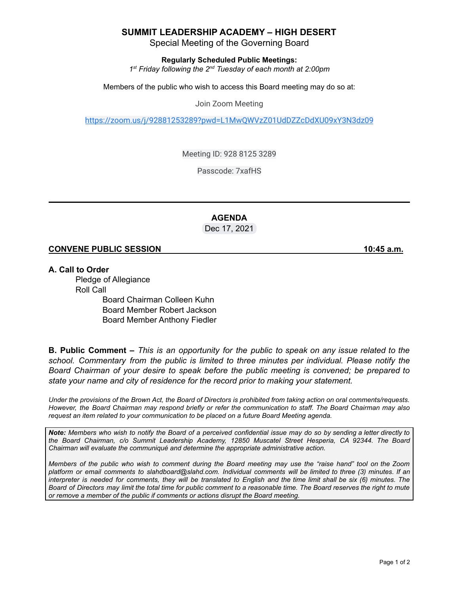## **SUMMIT LEADERSHIP ACADEMY – HIGH DESERT**

Special Meeting of the Governing Board

**Regularly Scheduled Public Meetings:**

*1 st Friday following the 2 nd Tuesday of each month at 2:00pm*

Members of the public who wish to access this Board meeting may do so at:

Join Zoom Meeting

<https://zoom.us/j/92881253289?pwd=L1MwQWVzZ01UdDZZcDdXU09xY3N3dz09>

Meeting ID: 928 8125 3289

Passcode: 7xafHS

#### **AGENDA** Dec 17, 2021

#### **CONVENE PUBLIC SESSION 10:45 a.m.**

**A. Call to Order**

Pledge of Allegiance Roll Call Board Chairman Colleen Kuhn Board Member Robert Jackson Board Member Anthony Fiedler

**B. Public Comment –** This is an opportunity for the public to speak on any issue related to the *school. Commentary from the public is limited to three minutes per individual. Please notify the Board Chairman of your desire to speak before the public meeting is convened; be prepared to state your name and city of residence for the record prior to making your statement.*

Under the provisions of the Brown Act, the Board of Directors is prohibited from taking action on oral comments/requests. However, the Board Chairman may respond briefly or refer the communication to staff. The Board Chairman may also *request an item related to your communication to be placed on a future Board Meeting agenda.*

Note: Members who wish to notify the Board of a perceived confidential issue may do so by sending a letter directly to *the Board Chairman, c/o Summit Leadership Academy, 12850 Muscatel Street Hesperia, CA 92344. The Board Chairman will evaluate the communiqué and determine the appropriate administrative action.*

Members of the public who wish to comment during the Board meeting may use the "raise hand" tool on the Zoom platform or email comments to slahdboard@slahd.com. Individual comments will be limited to three (3) minutes. If an interpreter is needed for comments, they will be translated to English and the time limit shall be six (6) minutes. The Board of Directors may limit the total time for public comment to a reasonable time. The Board reserves the right to mute *or remove a member of the public if comments or actions disrupt the Board meeting.*